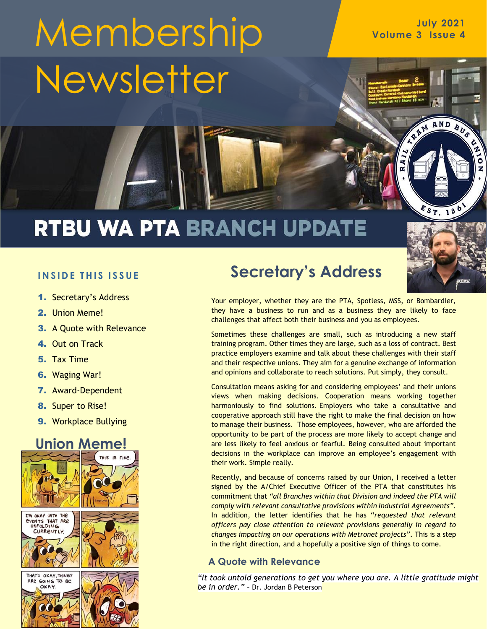# **July <sup>2021</sup>** Membership **Volume 3 Issue 4 Newsletter**

## RTBU WA PTA BRANCH UPDATE



- 1. Secretary's Address
- 2. Union Meme!
- 3. A Quote with Relevance
- 4. Out on Track
- 5. Tax Time
- 6. Waging War!
- 7. Award-Dependent
- 8. Super to Rise!
- 9. Workplace Bullying

#### **Union Meme!**





#### **Secretary's Address**

Your employer, whether they are the PTA, Spotless, MSS, or Bombardier, they have a business to run and as a business they are likely to face challenges that affect both their business and you as employees.

Sometimes these challenges are small, such as introducing a new staff training program. Other times they are large, such as a loss of contract. Best practice employers examine and talk about these challenges with their staff and their respective unions. They aim for a genuine exchange of information and opinions and collaborate to reach solutions. Put simply, they consult.

Consultation means asking for and considering employees' and their unions views when making decisions. Cooperation means working together harmoniously to find solutions. Employers who take a consultative and cooperative approach still have the right to make the final decision on how to manage their business. Those employees, however, who are afforded the opportunity to be part of the process are more likely to accept change and are less likely to feel anxious or fearful. Being consulted about important decisions in the workplace can improve an employee's engagement with their work. Simple really.

Recently, and because of concerns raised by our Union, I received a letter signed by the A/Chief Executive Officer of the PTA that constitutes his commitment that *"all Branches within that Division and indeed the PTA will comply with relevant consultative provisions within Industrial Agreements"*. In addition, the letter identifies that he has "*requested that relevant officers pay close attention to relevant provisions generally in regard to changes impacting on our operations with Metronet projects"*. This is a step in the right direction, and a hopefully a positive sign of things to come.

#### **A Quote with Relevance**

*"It took untold generations to get you where you are. A little gratitude might be in order." –* Dr. Jordan B Peterson



RAM AND BUS

Ò

z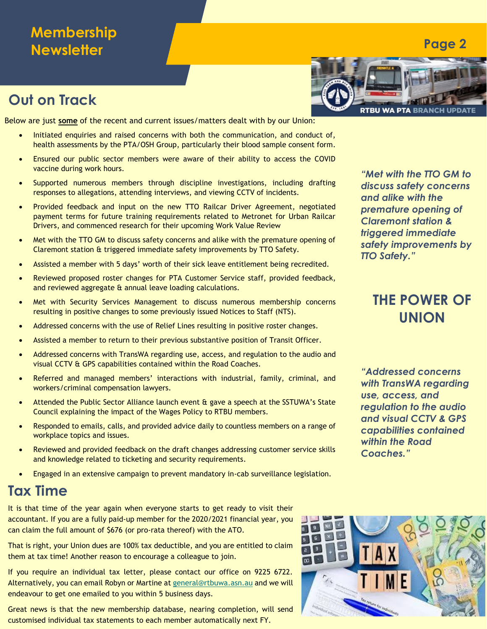#### **Membership Newsletter**

#### **Out on Track**

Below are just **some** of the recent and current issues/matters dealt with by our Union:

- Initiated enquiries and raised concerns with both the communication, and conduct of, health assessments by the PTA/OSH Group, particularly their blood sample consent form.
- Ensured our public sector members were aware of their ability to access the COVID vaccine during work hours.
- Supported numerous members through discipline investigations, including drafting responses to allegations, attending interviews, and viewing CCTV of incidents.
- Provided feedback and input on the new TTO Railcar Driver Agreement, negotiated payment terms for future training requirements related to Metronet for Urban Railcar Drivers, and commenced research for their upcoming Work Value Review
- Met with the TTO GM to discuss safety concerns and alike with the premature opening of Claremont station & triggered immediate safety improvements by TTO Safety.
- Assisted a member with 5 days' worth of their sick leave entitlement being recredited.
- Reviewed proposed roster changes for PTA Customer Service staff, provided feedback, and reviewed aggregate & annual leave loading calculations.
- Met with Security Services Management to discuss numerous membership concerns resulting in positive changes to some previously issued Notices to Staff (NTS).
- Addressed concerns with the use of Relief Lines resulting in positive roster changes.
- Assisted a member to return to their previous substantive position of Transit Officer.
- Addressed concerns with TransWA regarding use, access, and regulation to the audio and visual CCTV & GPS capabilities contained within the Road Coaches.
- Referred and managed members' interactions with industrial, family, criminal, and workers/criminal compensation lawyers.
- Attended the Public Sector Alliance launch event & gave a speech at the SSTUWA's State Council explaining the impact of the Wages Policy to RTBU members.
- Responded to emails, calls, and provided advice daily to countless members on a range of workplace topics and issues.
- Reviewed and provided feedback on the draft changes addressing customer service skills and knowledge related to ticketing and security requirements.
- Engaged in an extensive campaign to prevent mandatory in-cab surveillance legislation.

#### **Tax Time**

It is that time of the year again when everyone starts to get ready to visit their accountant. If you are a fully paid-up member for the 2020/2021 financial year, you can claim the full amount of \$676 (or pro-rata thereof) with the ATO.

That is right, your Union dues are 100% tax deductible, and you are entitled to claim them at tax time! Another reason to encourage a colleague to join.

If you require an individual tax letter, please contact our office on 9225 6722. Alternatively, you can email Robyn or Martine a[t general@rtbuwa.asn.au](mailto:general@rtbuwa.asn.au) and we will endeavour to get one emailed to you within 5 business days.

Great news is that the new membership database, nearing completion, will send customised individual tax statements to each member automatically next FY.



*"Met with the TTO GM to discuss safety concerns and alike with the premature opening of Claremont station & triggered immediate safety improvements by TTO Safety."*

#### **THE POWER OF UNION**

*"Addressed concerns with TransWA regarding use, access, and regulation to the audio and visual CCTV & GPS capabilities contained within the Road Coaches."*



#### **Page 2**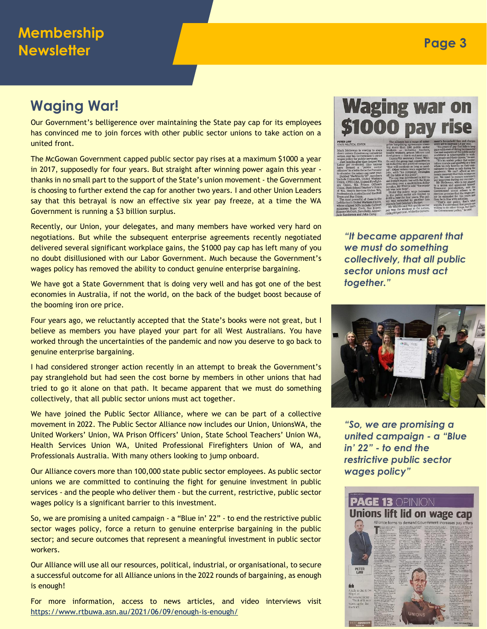#### **Waging War!**

Our Government's belligerence over maintaining the State pay cap for its employees has convinced me to join forces with other public sector unions to take action on a united front.

The McGowan Government capped public sector pay rises at a maximum \$1000 a year in 2017, supposedly for four years. But straight after winning power again this year thanks in no small part to the support of the State's union movement - the Government is choosing to further extend the cap for another two years. I and other Union Leaders say that this betrayal is now an effective six year pay freeze, at a time the WA Government is running a \$3 billion surplus.

Recently, our Union, your delegates, and many members have worked very hard on negotiations. But while the subsequent enterprise agreements recently negotiated delivered several significant workplace gains, the \$1000 pay cap has left many of you no doubt disillusioned with our Labor Government. Much because the Government's wages policy has removed the ability to conduct genuine enterprise bargaining.

We have got a State Government that is doing very well and has got one of the best economies in Australia, if not the world, on the back of the budget boost because of the booming iron ore price.

Four years ago, we reluctantly accepted that the State's books were not great, but I believe as members you have played your part for all West Australians. You have worked through the uncertainties of the pandemic and now you deserve to go back to genuine enterprise bargaining.

I had considered stronger action recently in an attempt to break the Government's pay stranglehold but had seen the cost borne by members in other unions that had tried to go it alone on that path. It became apparent that we must do something collectively, that all public sector unions must act together.

We have joined the Public Sector Alliance, where we can be part of a collective movement in 2022. The Public Sector Alliance now includes our Union, UnionsWA, the United Workers' Union, WA Prison Officers' Union, State School Teachers' Union WA, Health Services Union WA, United Professional Firefighters Union of WA, and Professionals Australia. With many others looking to jump onboard.

Our Alliance covers more than 100,000 state public sector employees. As public sector unions we are committed to continuing the fight for genuine investment in public services - and the people who deliver them - but the current, restrictive, public sector wages policy is a significant barrier to this investment.

So, we are promising a united campaign - a "Blue in' 22" - to end the restrictive public sector wages policy, force a return to genuine enterprise bargaining in the public sector; and secure outcomes that represent a meaningful investment in public sector workers.

Our Alliance will use all our resources, political, industrial, or organisational, to secure a successful outcome for all Alliance unions in the 2022 rounds of bargaining, as enough is enough!

For more information, access to news articles, and video interviews visit <https://www.rtbuwa.asn.au/2021/06/09/enough-is-enough/>

### **Waging war on** \$1000 pay rise



*"It became apparent that we must do something collectively, that all public sector unions must act together."*



*"So, we are promising a united campaign - a "Blue in' 22" - to end the restrictive public sector wages policy"*